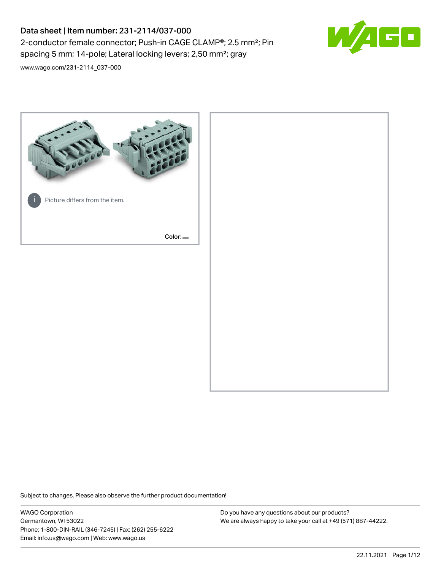# Data sheet | Item number: 231-2114/037-000 2-conductor female connector; Push-in CAGE CLAMP®; 2.5 mm²; Pin spacing 5 mm; 14-pole; Lateral locking levers; 2,50 mm²; gray



[www.wago.com/231-2114\\_037-000](http://www.wago.com/231-2114_037-000)



Subject to changes. Please also observe the further product documentation!

WAGO Corporation Germantown, WI 53022 Phone: 1-800-DIN-RAIL (346-7245) | Fax: (262) 255-6222 Email: info.us@wago.com | Web: www.wago.us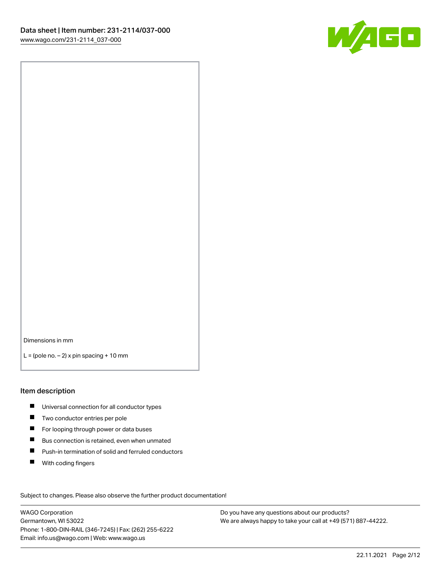

Dimensions in mm

 $L =$  (pole no.  $-2$ ) x pin spacing + 10 mm

#### Item description

- **Universal connection for all conductor types**
- **Two conductor entries per pole**
- $\blacksquare$ For looping through power or data buses
- $\blacksquare$ Bus connection is retained, even when unmated
- $\blacksquare$ Push-in termination of solid and ferruled conductors
- $\blacksquare$ With coding fingers

Subject to changes. Please also observe the further product documentation! Data

WAGO Corporation Germantown, WI 53022 Phone: 1-800-DIN-RAIL (346-7245) | Fax: (262) 255-6222 Email: info.us@wago.com | Web: www.wago.us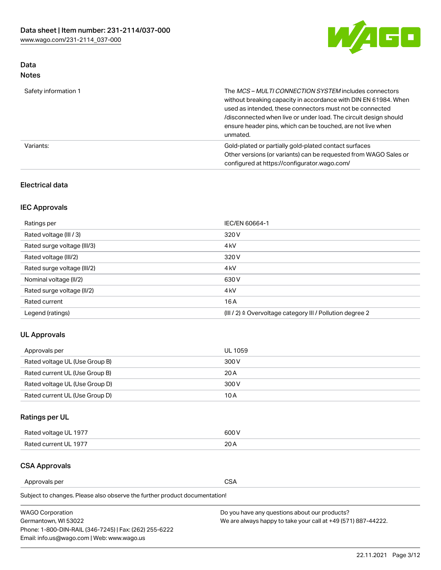

## Data Notes

| Safety information 1 | The MCS-MULTI CONNECTION SYSTEM includes connectors<br>without breaking capacity in accordance with DIN EN 61984. When<br>used as intended, these connectors must not be connected<br>/disconnected when live or under load. The circuit design should<br>ensure header pins, which can be touched, are not live when<br>unmated. |
|----------------------|-----------------------------------------------------------------------------------------------------------------------------------------------------------------------------------------------------------------------------------------------------------------------------------------------------------------------------------|
| Variants:            | Gold-plated or partially gold-plated contact surfaces<br>Other versions (or variants) can be requested from WAGO Sales or<br>configured at https://configurator.wago.com/                                                                                                                                                         |

#### Electrical data

## IEC Approvals

| Ratings per                 | IEC/EN 60664-1                                                        |
|-----------------------------|-----------------------------------------------------------------------|
| Rated voltage (III / 3)     | 320 V                                                                 |
| Rated surge voltage (III/3) | 4 <sub>k</sub> V                                                      |
| Rated voltage (III/2)       | 320 V                                                                 |
| Rated surge voltage (III/2) | 4 <sub>k</sub> V                                                      |
| Nominal voltage (II/2)      | 630 V                                                                 |
| Rated surge voltage (II/2)  | 4 <sub>k</sub> V                                                      |
| Rated current               | 16 A                                                                  |
| Legend (ratings)            | $(III / 2)$ $\triangle$ Overvoltage category III / Pollution degree 2 |

### UL Approvals

| Approvals per                  | UL 1059 |
|--------------------------------|---------|
| Rated voltage UL (Use Group B) | 300 V   |
| Rated current UL (Use Group B) | 20 A    |
| Rated voltage UL (Use Group D) | 300 V   |
| Rated current UL (Use Group D) | 10 A    |

## Ratings per UL

| Rated voltage UL 1977 | 600 V |
|-----------------------|-------|
| Rated current UL 1977 | nn.   |

#### CSA Approvals

Approvals per CSA

Subject to changes. Please also observe the further product documentation!

| <b>WAGO Corporation</b>                                | Do you have any questions about our products?                 |
|--------------------------------------------------------|---------------------------------------------------------------|
| Germantown, WI 53022                                   | We are always happy to take your call at +49 (571) 887-44222. |
| Phone: 1-800-DIN-RAIL (346-7245)   Fax: (262) 255-6222 |                                                               |
| Email: info.us@wago.com   Web: www.wago.us             |                                                               |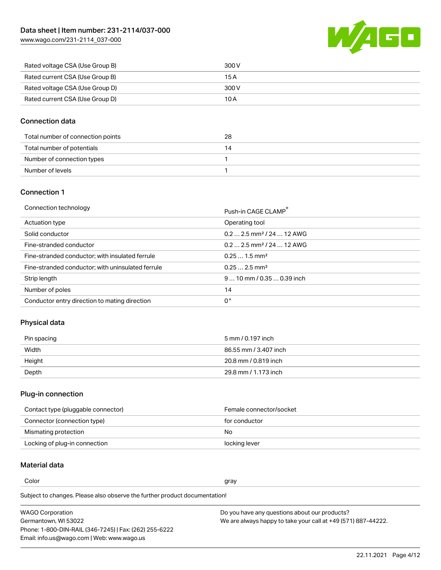[www.wago.com/231-2114\\_037-000](http://www.wago.com/231-2114_037-000)



| Rated voltage CSA (Use Group B) | 300 V |
|---------------------------------|-------|
| Rated current CSA (Use Group B) | 15 A  |
| Rated voltage CSA (Use Group D) | 300 V |
| Rated current CSA (Use Group D) | 10 A  |

#### Connection data

| Total number of connection points | 28   |
|-----------------------------------|------|
| Total number of potentials        | - 14 |
| Number of connection types        |      |
| Number of levels                  |      |

#### Connection 1

| Connection technology |  |  |  |
|-----------------------|--|--|--|
|-----------------------|--|--|--|

| Connection technology                             | Push-in CAGE CLAMP®                   |
|---------------------------------------------------|---------------------------------------|
| Actuation type                                    | Operating tool                        |
| Solid conductor                                   | $0.22.5$ mm <sup>2</sup> / 24  12 AWG |
| Fine-stranded conductor                           | $0.22.5$ mm <sup>2</sup> / 24  12 AWG |
| Fine-stranded conductor; with insulated ferrule   | $0.251.5$ mm <sup>2</sup>             |
| Fine-stranded conductor; with uninsulated ferrule | $0.252.5$ mm <sup>2</sup>             |
| Strip length                                      | $910$ mm $/0.350.39$ inch             |
| Number of poles                                   | 14                                    |
| Conductor entry direction to mating direction     | 0°                                    |

### Physical data

| Pin spacing | 5 mm / 0.197 inch     |
|-------------|-----------------------|
| Width       | 86.55 mm / 3.407 inch |
| Height      | 20.8 mm / 0.819 inch  |
| Depth       | 29.8 mm / 1.173 inch  |

## Plug-in connection

| Contact type (pluggable connector) | Female connector/socket |
|------------------------------------|-------------------------|
| Connector (connection type)        | for conductor           |
| Mismating protection               | No.                     |
| Locking of plug-in connection      | locking lever           |

## Material data

Color and the color of the color of the color of the color of the color of the color of the color of the color

Subject to changes. Please also observe the further product documentation! Material group I

| <b>WAGO Corporation</b>                                | Do you have any questions about our products?                 |
|--------------------------------------------------------|---------------------------------------------------------------|
| Germantown, WI 53022                                   | We are always happy to take your call at +49 (571) 887-44222. |
| Phone: 1-800-DIN-RAIL (346-7245)   Fax: (262) 255-6222 |                                                               |
| Email: info.us@wago.com   Web: www.wago.us             |                                                               |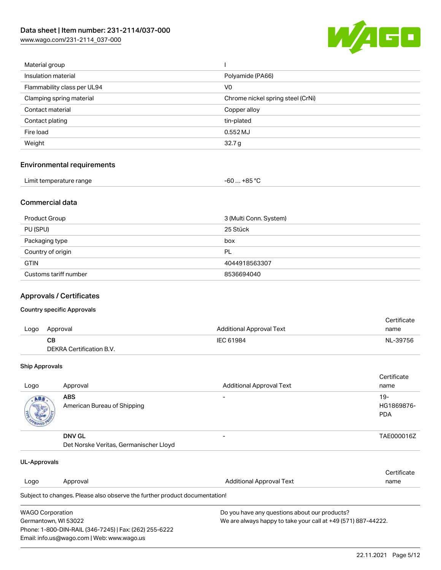[www.wago.com/231-2114\\_037-000](http://www.wago.com/231-2114_037-000)



| Material group              |                                   |
|-----------------------------|-----------------------------------|
| Insulation material         | Polyamide (PA66)                  |
| Flammability class per UL94 | V0                                |
| Clamping spring material    | Chrome nickel spring steel (CrNi) |
| Contact material            | Copper alloy                      |
| Contact plating             | tin-plated                        |
| Fire load                   | 0.552 MJ                          |
| Weight                      | 32.7 <sub>g</sub>                 |
|                             |                                   |

#### Environmental requirements

| Limit temperature range | -60  +85 °Ր |
|-------------------------|-------------|
|-------------------------|-------------|

#### Commercial data

| Product Group         | 3 (Multi Conn. System) |
|-----------------------|------------------------|
| PU (SPU)              | 25 Stück               |
| Packaging type        | box                    |
| Country of origin     | PL                     |
| <b>GTIN</b>           | 4044918563307          |
| Customs tariff number | 8536694040             |

#### Approvals / Certificates

#### Country specific Approvals

|      |                          |                                 | Certificate |
|------|--------------------------|---------------------------------|-------------|
| Logo | Approval                 | <b>Additional Approval Text</b> | name        |
|      | <b>CB</b>                | IEC 61984                       | NL-39756    |
|      | DEKRA Certification B.V. |                                 |             |

#### Ship Approvals

| Logo | Approval                                                | <b>Additional Approval Text</b> | Certificate<br>name                |
|------|---------------------------------------------------------|---------------------------------|------------------------------------|
| ABS. | <b>ABS</b><br>American Bureau of Shipping               |                                 | $19 -$<br>HG1869876-<br><b>PDA</b> |
|      | <b>DNV GL</b><br>Det Norske Veritas, Germanischer Lloyd |                                 | TAE000016Z                         |

| UL-Approvals                                                                          |                                                                            |                                               |             |  |
|---------------------------------------------------------------------------------------|----------------------------------------------------------------------------|-----------------------------------------------|-------------|--|
|                                                                                       |                                                                            |                                               | Certificate |  |
| Logo                                                                                  | Approval                                                                   | <b>Additional Approval Text</b>               | name        |  |
|                                                                                       | Subject to changes. Please also observe the further product documentation! |                                               |             |  |
| <b>WAGO Corporation</b>                                                               |                                                                            | Do you have any questions about our products? |             |  |
| We are always happy to take your call at +49 (571) 887-44222.<br>Germantown, WI 53022 |                                                                            |                                               |             |  |
|                                                                                       | Phone: 1-800-DIN-RAIL (346-7245)   Fax: (262) 255-6222                     |                                               |             |  |
|                                                                                       | Email: info.us@wago.com   Web: www.wago.us                                 |                                               |             |  |

22.11.2021 Page 5/12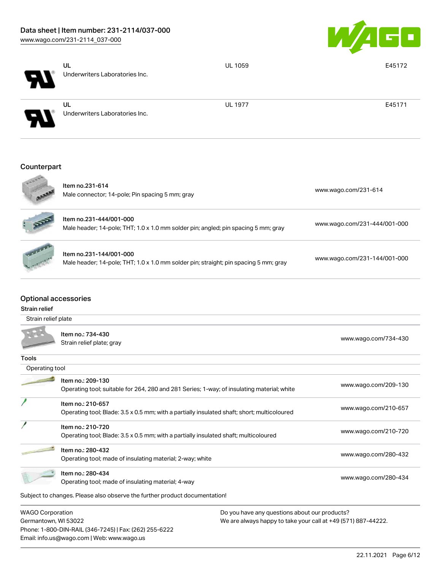

| ч                           | UL<br>Underwriters Laboratories Inc. | <b>UL 1059</b> | E45172 |
|-----------------------------|--------------------------------------|----------------|--------|
| $\blacktriangleright$       | UL<br>Underwriters Laboratories Inc. | <b>UL 1977</b> | E45171 |
| Counterpart<br><b>KOOOA</b> | $1 + 2 + 3 + 0 = 0$                  |                |        |

|                      | <b>Item no.231-614</b><br>Male connector; 14-pole; Pin spacing 5 mm; gray                                       | www.wago.com/231-614         |
|----------------------|-----------------------------------------------------------------------------------------------------------------|------------------------------|
| AND                  | Item no.231-444/001-000<br>Male header; 14-pole; THT; 1.0 x 1.0 mm solder pin; angled; pin spacing 5 mm; gray   | www.wago.com/231-444/001-000 |
| <b>Harley Avenue</b> | Item no.231-144/001-000<br>Male header; 14-pole; THT; 1.0 x 1.0 mm solder pin; straight; pin spacing 5 mm; gray | www.wago.com/231-144/001-000 |

#### Optional accessories

| <b>Strain relief</b>    |                                                                                                                  |                      |
|-------------------------|------------------------------------------------------------------------------------------------------------------|----------------------|
| Strain relief plate     |                                                                                                                  |                      |
|                         | Item no.: 734-430<br>Strain relief plate; gray                                                                   | www.wago.com/734-430 |
| Tools                   |                                                                                                                  |                      |
| Operating tool          |                                                                                                                  |                      |
|                         | Item no.: 209-130<br>Operating tool; suitable for 264, 280 and 281 Series; 1-way; of insulating material; white  | www.wago.com/209-130 |
|                         | Item no.: 210-657<br>Operating tool; Blade: 3.5 x 0.5 mm; with a partially insulated shaft; short; multicoloured | www.wago.com/210-657 |
|                         | Item no.: 210-720<br>Operating tool; Blade: 3.5 x 0.5 mm; with a partially insulated shaft; multicoloured        | www.wago.com/210-720 |
|                         | Item no.: 280-432<br>Operating tool; made of insulating material; 2-way; white                                   | www.wago.com/280-432 |
|                         | Item no.: 280-434<br>Operating tool; made of insulating material; 4-way                                          | www.wago.com/280-434 |
|                         | Subject to changes. Please also observe the further product documentation!                                       |                      |
| <b>WAGO Corporation</b> | Do you have any questions about our products?                                                                    |                      |

Germantown, WI 53022 Phone: 1-800-DIN-RAIL (346-7245) | Fax: (262) 255-6222 Email: info.us@wago.com | Web: www.wago.us

We are always happy to take your call at +49 (571) 887-44222.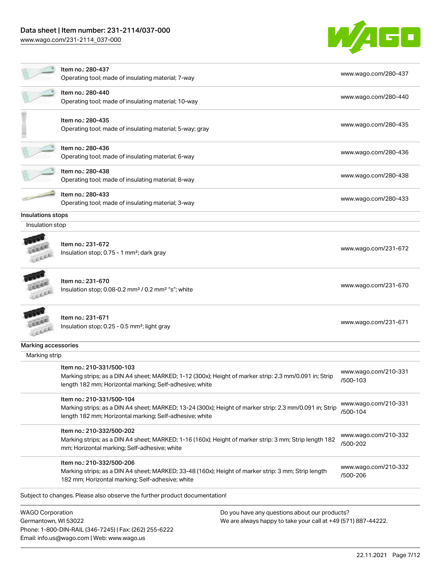# Data sheet | Item number: 231-2114/037-000

[www.wago.com/231-2114\\_037-000](http://www.wago.com/231-2114_037-000)



|                     | Item no.: 280-437<br>Operating tool; made of insulating material; 7-way                                                                                                                         | www.wago.com/280-437             |
|---------------------|-------------------------------------------------------------------------------------------------------------------------------------------------------------------------------------------------|----------------------------------|
|                     | Item no.: 280-440<br>Operating tool; made of insulating material; 10-way                                                                                                                        | www.wago.com/280-440             |
|                     | Item no.: 280-435<br>Operating tool; made of insulating material; 5-way; gray                                                                                                                   | www.wago.com/280-435             |
|                     | Item no.: 280-436<br>Operating tool; made of insulating material; 6-way                                                                                                                         | www.wago.com/280-436             |
|                     | Item no.: 280-438<br>Operating tool; made of insulating material; 8-way                                                                                                                         | www.wago.com/280-438             |
|                     | Item no.: 280-433<br>Operating tool; made of insulating material; 3-way                                                                                                                         | www.wago.com/280-433             |
| Insulations stops   |                                                                                                                                                                                                 |                                  |
| Insulation stop     |                                                                                                                                                                                                 |                                  |
|                     | Item no.: 231-672<br>Insulation stop; 0.75 - 1 mm <sup>2</sup> ; dark gray                                                                                                                      | www.wago.com/231-672             |
|                     | Item no.: 231-670<br>Insulation stop; 0.08-0.2 mm <sup>2</sup> / 0.2 mm <sup>2</sup> "s"; white                                                                                                 | www.wago.com/231-670             |
|                     | Item no.: 231-671<br>Insulation stop; 0.25 - 0.5 mm <sup>2</sup> ; light gray                                                                                                                   | www.wago.com/231-671             |
| Marking accessories |                                                                                                                                                                                                 |                                  |
| Marking strip       |                                                                                                                                                                                                 |                                  |
|                     | Item no.: 210-331/500-103<br>Marking strips; as a DIN A4 sheet; MARKED; 1-12 (300x); Height of marker strip: 2.3 mm/0.091 in; Strip<br>length 182 mm; Horizontal marking; Self-adhesive; white  | www.wago.com/210-331<br>/500-103 |
|                     | Item no.: 210-331/500-104<br>Marking strips; as a DIN A4 sheet; MARKED; 13-24 (300x); Height of marker strip: 2.3 mm/0.091 in; Strip<br>length 182 mm; Horizontal marking; Self-adhesive; white | www.wago.com/210-331<br>/500-104 |
|                     | Item no.: 210-332/500-202<br>Marking strips; as a DIN A4 sheet; MARKED; 1-16 (160x); Height of marker strip: 3 mm; Strip length 182<br>mm; Horizontal marking; Self-adhesive; white             | www.wago.com/210-332<br>/500-202 |
|                     | Item no.: 210-332/500-206<br>Marking strips; as a DIN A4 sheet; MARKED; 33-48 (160x); Height of marker strip: 3 mm; Strip length<br>182 mm; Horizontal marking; Self-adhesive; white            | www.wago.com/210-332<br>/500-206 |
|                     | Subject to changes. Please also observe the further product documentation!                                                                                                                      |                                  |
|                     |                                                                                                                                                                                                 |                                  |

WAGO Corporation Germantown, WI 53022 Phone: 1-800-DIN-RAIL (346-7245) | Fax: (262) 255-6222 Email: info.us@wago.com | Web: www.wago.us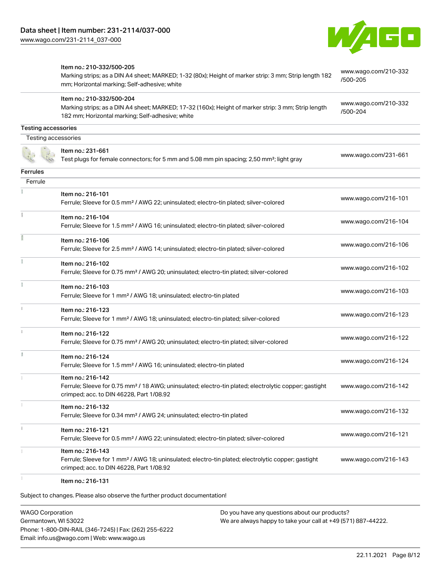

|                     | Item no.: 210-332/500-205                                                                                                                                                          | www.wago.com/210-332 |  |
|---------------------|------------------------------------------------------------------------------------------------------------------------------------------------------------------------------------|----------------------|--|
|                     | Marking strips; as a DIN A4 sheet; MARKED; 1-32 (80x); Height of marker strip: 3 mm; Strip length 182<br>mm; Horizontal marking; Self-adhesive; white                              | /500-205             |  |
|                     | Item no.: 210-332/500-204                                                                                                                                                          | www.wago.com/210-332 |  |
|                     | Marking strips; as a DIN A4 sheet; MARKED; 17-32 (160x); Height of marker strip: 3 mm; Strip length<br>182 mm; Horizontal marking; Self-adhesive; white                            | /500-204             |  |
| Testing accessories |                                                                                                                                                                                    |                      |  |
| Testing accessories |                                                                                                                                                                                    |                      |  |
|                     | Item no.: 231-661<br>Test plugs for female connectors; for 5 mm and 5.08 mm pin spacing; 2,50 mm <sup>2</sup> ; light gray                                                         | www.wago.com/231-661 |  |
| <b>Ferrules</b>     |                                                                                                                                                                                    |                      |  |
| Ferrule             |                                                                                                                                                                                    |                      |  |
|                     | Item no.: 216-101<br>Ferrule; Sleeve for 0.5 mm <sup>2</sup> / AWG 22; uninsulated; electro-tin plated; silver-colored                                                             | www.wago.com/216-101 |  |
|                     | Item no.: 216-104<br>Ferrule; Sleeve for 1.5 mm <sup>2</sup> / AWG 16; uninsulated; electro-tin plated; silver-colored                                                             | www.wago.com/216-104 |  |
|                     | Item no.: 216-106<br>Ferrule; Sleeve for 2.5 mm <sup>2</sup> / AWG 14; uninsulated; electro-tin plated; silver-colored                                                             | www.wago.com/216-106 |  |
|                     | Item no.: 216-102<br>Ferrule; Sleeve for 0.75 mm <sup>2</sup> / AWG 20; uninsulated; electro-tin plated; silver-colored                                                            | www.wago.com/216-102 |  |
|                     | Item no.: 216-103<br>Ferrule; Sleeve for 1 mm <sup>2</sup> / AWG 18; uninsulated; electro-tin plated                                                                               | www.wago.com/216-103 |  |
|                     | Item no.: 216-123<br>Ferrule; Sleeve for 1 mm <sup>2</sup> / AWG 18; uninsulated; electro-tin plated; silver-colored                                                               | www.wago.com/216-123 |  |
|                     | Item no.: 216-122<br>Ferrule; Sleeve for 0.75 mm <sup>2</sup> / AWG 20; uninsulated; electro-tin plated; silver-colored                                                            | www.wago.com/216-122 |  |
| B                   | Item no.: 216-124<br>Ferrule; Sleeve for 1.5 mm <sup>2</sup> / AWG 16; uninsulated; electro-tin plated                                                                             | www.wago.com/216-124 |  |
|                     | Item no.: 216-142<br>Ferrule; Sleeve for 0.75 mm <sup>2</sup> / 18 AWG; uninsulated; electro-tin plated; electrolytic copper; gastight<br>crimped; acc. to DIN 46228, Part 1/08.92 | www.wago.com/216-142 |  |
|                     | Item no.: 216-132<br>Ferrule; Sleeve for 0.34 mm <sup>2</sup> / AWG 24; uninsulated; electro-tin plated                                                                            | www.wago.com/216-132 |  |
|                     | Item no.: 216-121<br>Ferrule; Sleeve for 0.5 mm <sup>2</sup> / AWG 22; uninsulated; electro-tin plated; silver-colored                                                             | www.wago.com/216-121 |  |
|                     | Item no.: 216-143<br>Ferrule; Sleeve for 1 mm <sup>2</sup> / AWG 18; uninsulated; electro-tin plated; electrolytic copper; gastight<br>crimped; acc. to DIN 46228, Part 1/08.92    | www.wago.com/216-143 |  |
|                     | Item no.: 216-131                                                                                                                                                                  |                      |  |

Subject to changes. Please also observe the further product documentation!

WAGO Corporation Germantown, WI 53022 Phone: 1-800-DIN-RAIL (346-7245) | Fax: (262) 255-6222 Email: info.us@wago.com | Web: www.wago.us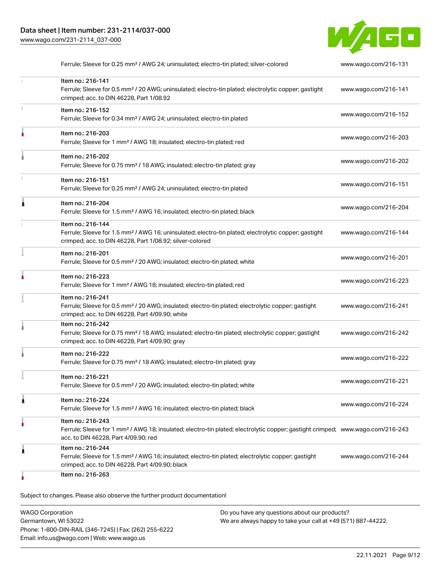

|   | Ferrule; Sleeve for 0.25 mm <sup>2</sup> / AWG 24; uninsulated; electro-tin plated; silver-colored                                                                                                      | www.wago.com/216-131 |
|---|---------------------------------------------------------------------------------------------------------------------------------------------------------------------------------------------------------|----------------------|
|   | Item no.: 216-141<br>Ferrule; Sleeve for 0.5 mm <sup>2</sup> / 20 AWG; uninsulated; electro-tin plated; electrolytic copper; gastight<br>crimped; acc. to DIN 46228, Part 1/08.92                       | www.wago.com/216-141 |
|   | Item no.: 216-152<br>Ferrule; Sleeve for 0.34 mm <sup>2</sup> / AWG 24; uninsulated; electro-tin plated                                                                                                 | www.wago.com/216-152 |
|   | Item no.: 216-203<br>Ferrule; Sleeve for 1 mm <sup>2</sup> / AWG 18; insulated; electro-tin plated; red                                                                                                 | www.wago.com/216-203 |
|   | Item no.: 216-202<br>Ferrule; Sleeve for 0.75 mm <sup>2</sup> / 18 AWG; insulated; electro-tin plated; gray                                                                                             | www.wago.com/216-202 |
|   | Item no.: 216-151<br>Ferrule; Sleeve for 0.25 mm <sup>2</sup> / AWG 24; uninsulated; electro-tin plated                                                                                                 | www.wago.com/216-151 |
|   | Item no.: 216-204<br>Ferrule; Sleeve for 1.5 mm <sup>2</sup> / AWG 16; insulated; electro-tin plated; black                                                                                             | www.wago.com/216-204 |
|   | Item no.: 216-144<br>Ferrule; Sleeve for 1.5 mm <sup>2</sup> / AWG 16; uninsulated; electro-tin plated; electrolytic copper; gastight<br>crimped; acc. to DIN 46228, Part 1/08.92; silver-colored       | www.wago.com/216-144 |
|   | Item no.: 216-201<br>Ferrule; Sleeve for 0.5 mm <sup>2</sup> / 20 AWG; insulated; electro-tin plated; white                                                                                             | www.wago.com/216-201 |
|   | Item no.: 216-223<br>Ferrule; Sleeve for 1 mm <sup>2</sup> / AWG 18; insulated; electro-tin plated; red                                                                                                 | www.wago.com/216-223 |
|   | Item no.: 216-241<br>Ferrule; Sleeve for 0.5 mm <sup>2</sup> / 20 AWG; insulated; electro-tin plated; electrolytic copper; gastight<br>crimped; acc. to DIN 46228, Part 4/09.90; white                  | www.wago.com/216-241 |
|   | Item no.: 216-242<br>Ferrule; Sleeve for 0.75 mm <sup>2</sup> / 18 AWG; insulated; electro-tin plated; electrolytic copper; gastight<br>crimped; acc. to DIN 46228, Part 4/09.90; gray                  | www.wago.com/216-242 |
|   | Item no.: 216-222<br>Ferrule; Sleeve for 0.75 mm <sup>2</sup> / 18 AWG; insulated; electro-tin plated; gray                                                                                             | www.wago.com/216-222 |
|   | Item no.: 216-221<br>Ferrule; Sleeve for 0.5 mm <sup>2</sup> / 20 AWG; insulated; electro-tin plated; white                                                                                             | www.wago.com/216-221 |
| 1 | Item no.: 216-224<br>Ferrule; Sleeve for 1.5 mm <sup>2</sup> / AWG 16; insulated; electro-tin plated; black                                                                                             | www.wago.com/216-224 |
|   | Item no.: 216-243<br>Ferrule; Sleeve for 1 mm <sup>2</sup> / AWG 18; insulated; electro-tin plated; electrolytic copper; gastight crimped; www.wago.com/216-243<br>acc. to DIN 46228, Part 4/09.90; red |                      |
| 1 | Item no.: 216-244<br>Ferrule; Sleeve for 1.5 mm <sup>2</sup> / AWG 16; insulated; electro-tin plated; electrolytic copper; gastight<br>crimped; acc. to DIN 46228, Part 4/09.90; black                  | www.wago.com/216-244 |
|   | Item no.: 216-263                                                                                                                                                                                       |                      |

Subject to changes. Please also observe the further product documentation!

| <b>WAGO Corporation</b>                                | Do you have any questions about our products?                 |
|--------------------------------------------------------|---------------------------------------------------------------|
| Germantown, WI 53022                                   | We are always happy to take your call at +49 (571) 887-44222. |
| Phone: 1-800-DIN-RAIL (346-7245)   Fax: (262) 255-6222 |                                                               |
| Email: info.us@wago.com   Web: www.wago.us             |                                                               |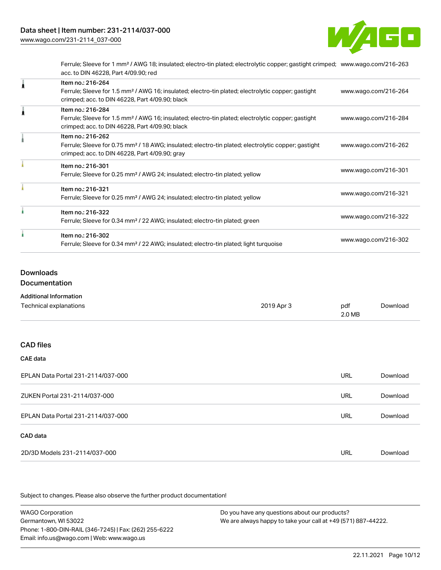

Ferrule; Sleeve for 1 mm² / AWG 18; insulated; electro-tin plated; electrolytic copper; gastight crimped; [www.wago.com/216-263](http://www.wago.com/216-263) acc. to DIN 46228, Part 4/09.90; red

| Item no.: 216-264<br>Ferrule; Sleeve for 1.5 mm <sup>2</sup> / AWG 16; insulated; electro-tin plated; electrolytic copper; gastight<br>crimped; acc. to DIN 46228, Part 4/09.90; black | www.wago.com/216-264 |
|----------------------------------------------------------------------------------------------------------------------------------------------------------------------------------------|----------------------|
| Item no.: 216-284<br>Ferrule; Sleeve for 1.5 mm <sup>2</sup> / AWG 16; insulated; electro-tin plated; electrolytic copper; gastight<br>crimped; acc. to DIN 46228, Part 4/09.90; black | www.wago.com/216-284 |
| Item no.: 216-262<br>Ferrule; Sleeve for 0.75 mm <sup>2</sup> / 18 AWG; insulated; electro-tin plated; electrolytic copper; gastight<br>crimped; acc. to DIN 46228, Part 4/09.90; gray | www.wago.com/216-262 |
| Item no.: 216-301<br>Ferrule; Sleeve for 0.25 mm <sup>2</sup> / AWG 24; insulated; electro-tin plated; yellow                                                                          | www.wago.com/216-301 |
| Item no.: 216-321<br>Ferrule; Sleeve for 0.25 mm <sup>2</sup> / AWG 24; insulated; electro-tin plated; yellow                                                                          | www.wago.com/216-321 |
| Item no.: 216-322<br>Ferrule; Sleeve for 0.34 mm <sup>2</sup> / 22 AWG; insulated; electro-tin plated; green                                                                           | www.wago.com/216-322 |
| Item no.: 216-302<br>Ferrule; Sleeve for 0.34 mm <sup>2</sup> / 22 AWG; insulated; electro-tin plated; light turquoise                                                                 | www.wago.com/216-302 |

#### Downloads

Documentation

| <b>Additional Information</b> |            |          |          |
|-------------------------------|------------|----------|----------|
| Technical explanations        | 2019 Apr 3 | pdf      | Download |
|                               |            | $2.0$ MB |          |

### CAD files

| <b>CAE</b> data |  |
|-----------------|--|
|                 |  |

| EPLAN Data Portal 231-2114/037-000 | URL | Download |
|------------------------------------|-----|----------|
| ZUKEN Portal 231-2114/037-000      | URL | Download |
| EPLAN Data Portal 231-2114/037-000 | URL | Download |
| CAD data                           |     |          |
| 2D/3D Models 231-2114/037-000      | URL | Download |

Subject to changes. Please also observe the further product documentation!

WAGO Corporation Germantown, WI 53022 Phone: 1-800-DIN-RAIL (346-7245) | Fax: (262) 255-6222 Email: info.us@wago.com | Web: www.wago.us Do you have any questions about our products? We are always happy to take your call at +49 (571) 887-44222.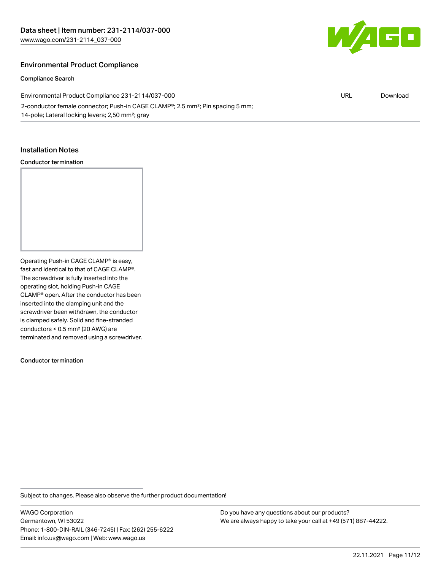

#### Environmental Product Compliance

#### Compliance Search

| Environmental Product Compliance 231-2114/037-000                                                       | URL | Download |
|---------------------------------------------------------------------------------------------------------|-----|----------|
| 2-conductor female connector; Push-in CAGE CLAMP <sup>®</sup> ; 2.5 mm <sup>2</sup> ; Pin spacing 5 mm; |     |          |
| 14-pole; Lateral locking levers; 2,50 mm <sup>2</sup> ; gray                                            |     |          |

#### Installation Notes

#### Conductor termination

Operating Push-in CAGE CLAMP® is easy, fast and identical to that of CAGE CLAMP®. The screwdriver is fully inserted into the operating slot, holding Push-in CAGE CLAMP® open. After the conductor has been inserted into the clamping unit and the screwdriver been withdrawn, the conductor is clamped safely. Solid and fine-stranded conductors < 0.5 mm² (20 AWG) are terminated and removed using a screwdriver.

Conductor termination

Subject to changes. Please also observe the further product documentation!

WAGO Corporation Germantown, WI 53022 Phone: 1-800-DIN-RAIL (346-7245) | Fax: (262) 255-6222 Email: info.us@wago.com | Web: www.wago.us